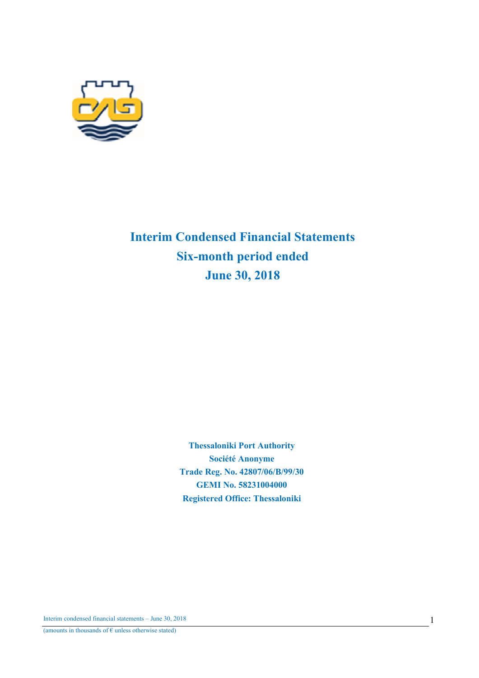

# Interim Condensed Financial Statements Six-month period ended June 30, 2018

Thessaloniki Port Authority Société Anonyme Trade Reg. No. 42807/06/Β/99/30 GEMI No. 58231004000 Registered Office: Thessaloniki

Interim condensed financial statements – June 30, 2018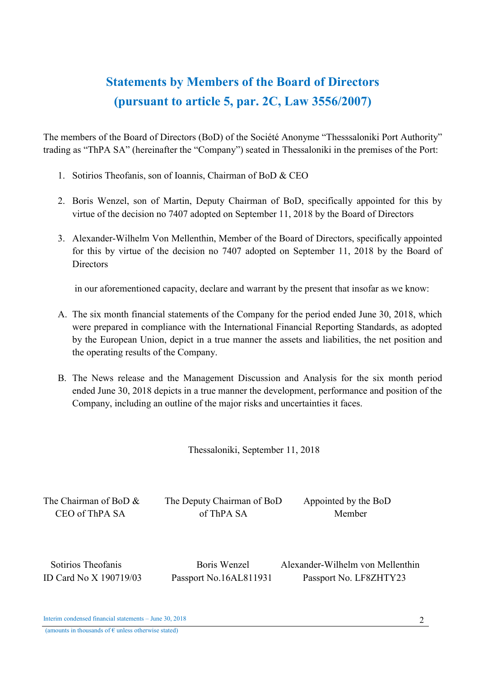# Statements by Members of the Board of Directors (pursuant to article 5, par. 2C, Law 3556/2007)

The members of the Board of Directors (BoD) of the Société Anonyme "Thesssaloniki Port Authority" trading as "ThPA SA" (hereinafter the "Company") seated in Thessaloniki in the premises of the Port:

- 1. Sotirios Theofanis, son of Ioannis, Chairman of BoD & CEO
- 2. Boris Wenzel, son of Martin, Deputy Chairman of BoD, specifically appointed for this by virtue of the decision no 7407 adopted on September 11, 2018 by the Board of Directors
- 3. Alexander-Wilhelm Von Mellenthin, Member of the Board of Directors, specifically appointed for this by virtue of the decision no 7407 adopted on September 11, 2018 by the Board of **Directors**

in our aforementioned capacity, declare and warrant by the present that insofar as we know:

- A. The six month financial statements of the Company for the period ended June 30, 2018, which were prepared in compliance with the International Financial Reporting Standards, as adopted by the European Union, depict in a true manner the assets and liabilities, the net position and the operating results of the Company.
- B. The News release and the Management Discussion and Analysis for the six month period ended June 30, 2018 depicts in a true manner the development, performance and position of the Company, including an outline of the major risks and uncertainties it faces.

Thessaloniki, September 11, 2018

The Chairman of BoD & The Deputy Chairman of BoD Appointed by the BoD CEO of ThPA SA of ThPA SA Member

 Sotirios Theofanis Boris Wenzel Alexander-Wilhelm von Mellenthin ID Card No X 190719/03 Passport No.16AL811931 Passport No. LF8ZHTY23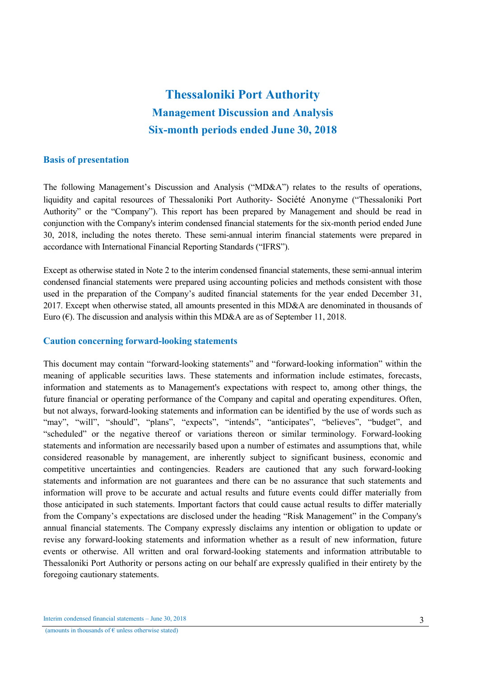# Thessaloniki Port Authority Management Discussion and Analysis Six-month periods ended June 30, 2018

### Basis of presentation

The following Management's Discussion and Analysis ("MD&A") relates to the results of operations, liquidity and capital resources of Thessaloniki Port Authority- Société Anonyme ("Thessaloniki Port Authority" or the "Company"). This report has been prepared by Management and should be read in conjunction with the Company's interim condensed financial statements for the six-month period ended June 30, 2018, including the notes thereto. These semi-annual interim financial statements were prepared in accordance with International Financial Reporting Standards ("IFRS").

Except as otherwise stated in Note 2 to the interim condensed financial statements, these semi-annual interim condensed financial statements were prepared using accounting policies and methods consistent with those used in the preparation of the Company's audited financial statements for the year ended December 31, 2017. Except when otherwise stated, all amounts presented in this MD&A are denominated in thousands of Euro  $(\epsilon)$ . The discussion and analysis within this MD&A are as of September 11, 2018.

### Caution concerning forward-looking statements

This document may contain "forward-looking statements" and "forward-looking information" within the meaning of applicable securities laws. These statements and information include estimates, forecasts, information and statements as to Management's expectations with respect to, among other things, the future financial or operating performance of the Company and capital and operating expenditures. Often, but not always, forward-looking statements and information can be identified by the use of words such as "may", "will", "should", "plans", "expects", "intends", "anticipates", "believes", "budget", and "scheduled" or the negative thereof or variations thereon or similar terminology. Forward-looking statements and information are necessarily based upon a number of estimates and assumptions that, while considered reasonable by management, are inherently subject to significant business, economic and competitive uncertainties and contingencies. Readers are cautioned that any such forward-looking statements and information are not guarantees and there can be no assurance that such statements and information will prove to be accurate and actual results and future events could differ materially from those anticipated in such statements. Important factors that could cause actual results to differ materially from the Company's expectations are disclosed under the heading "Risk Management" in the Company's annual financial statements. The Company expressly disclaims any intention or obligation to update or revise any forward-looking statements and information whether as a result of new information, future events or otherwise. All written and oral forward-looking statements and information attributable to Thessaloniki Port Authority or persons acting on our behalf are expressly qualified in their entirety by the foregoing cautionary statements.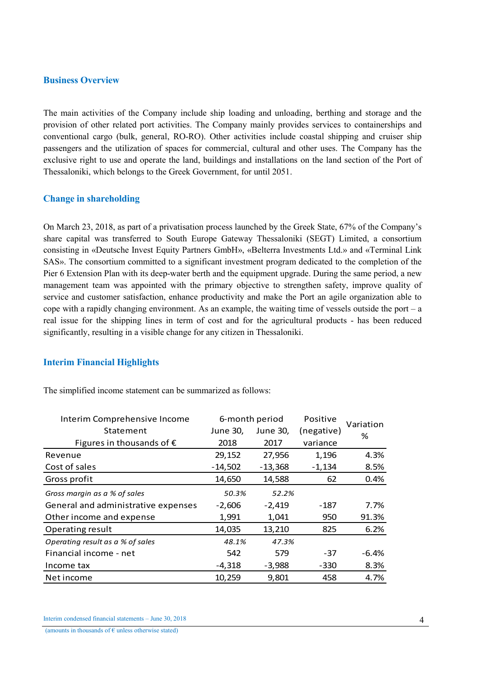### Business Overview

The main activities of the Company include ship loading and unloading, berthing and storage and the provision of other related port activities. The Company mainly provides services to containerships and conventional cargo (bulk, general, RO-RO). Other activities include coastal shipping and cruiser ship passengers and the utilization of spaces for commercial, cultural and other uses. The Company has the exclusive right to use and operate the land, buildings and installations on the land section of the Port of Thessaloniki, which belongs to the Greek Government, for until 2051.

### Change in shareholding

On March 23, 2018, as part of a privatisation process launched by the Greek State, 67% of the Company's share capital was transferred to South Europe Gateway Thessaloniki (SEGT) Limited, a consortium consisting in «Deutsche Invest Equity Partners GmbH», «Belterra Investments Ltd.» and «Terminal Link SAS». The consortium committed to a significant investment program dedicated to the completion of the Pier 6 Extension Plan with its deep-water berth and the equipment upgrade. During the same period, a new management team was appointed with the primary objective to strengthen safety, improve quality of service and customer satisfaction, enhance productivity and make the Port an agile organization able to cope with a rapidly changing environment. As an example, the waiting time of vessels outside the port – a real issue for the shipping lines in term of cost and for the agricultural products - has been reduced significantly, resulting in a visible change for any citizen in Thessaloniki.

### Interim Financial Highlights

|  | The simplified income statement can be summarized as follows: |  |  |
|--|---------------------------------------------------------------|--|--|
|--|---------------------------------------------------------------|--|--|

| Interim Comprehensive Income        |           | 6-month period | Positive   | Variation |
|-------------------------------------|-----------|----------------|------------|-----------|
| Statement                           | June 30,  | June 30,       | (negative) | %         |
| Figures in thousands of $\epsilon$  | 2018      | 2017           | variance   |           |
| Revenue                             | 29,152    | 27,956         | 1,196      | 4.3%      |
| Cost of sales                       | $-14,502$ | $-13,368$      | $-1,134$   | 8.5%      |
| Gross profit                        | 14,650    | 14,588         | 62         | 0.4%      |
| Gross margin as a % of sales        | 50.3%     | 52.2%          |            |           |
| General and administrative expenses | $-2,606$  | $-2,419$       | -187       | 7.7%      |
| Other income and expense            | 1,991     | 1,041          | 950        | 91.3%     |
| Operating result                    | 14,035    | 13,210         | 825        | 6.2%      |
| Operating result as a % of sales    | 48.1%     | 47.3%          |            |           |
| Financial income - net              | 542       | 579            | $-37$      | $-6.4%$   |
| Income tax                          | $-4,318$  | $-3,988$       | $-330$     | 8.3%      |
| Net income                          | 10,259    | 9,801          | 458        | 4.7%      |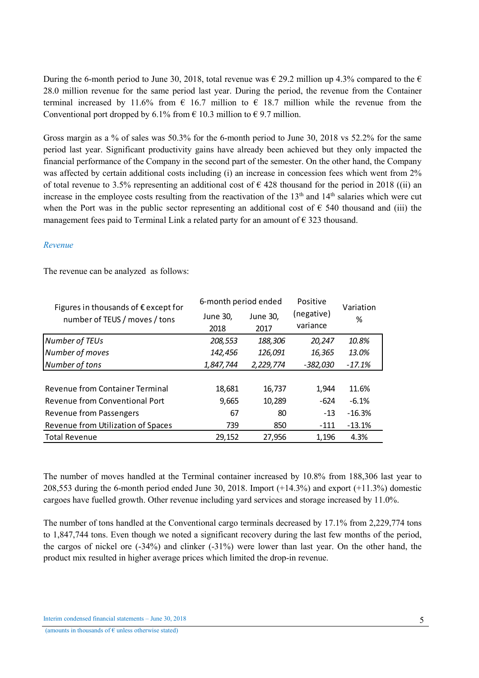During the 6-month period to June 30, 2018, total revenue was  $\epsilon$  29.2 million up 4.3% compared to the  $\epsilon$ 28.0 million revenue for the same period last year. During the period, the revenue from the Container terminal increased by 11.6% from  $\epsilon$  16.7 million to  $\epsilon$  18.7 million while the revenue from the Conventional port dropped by 6.1% from  $\epsilon$  10.3 million to  $\epsilon$  9.7 million.

Gross margin as a % of sales was 50.3% for the 6-month period to June 30, 2018 vs 52.2% for the same period last year. Significant productivity gains have already been achieved but they only impacted the financial performance of the Company in the second part of the semester. On the other hand, the Company was affected by certain additional costs including (i) an increase in concession fees which went from 2% of total revenue to 3.5% representing an additional cost of  $\epsilon$  428 thousand for the period in 2018 ((ii) an increase in the employee costs resulting from the reactivation of the  $13<sup>th</sup>$  and  $14<sup>th</sup>$  salaries which were cut when the Port was in the public sector representing an additional cost of  $\epsilon$  540 thousand and (iii) the management fees paid to Terminal Link a related party for an amount of  $\epsilon$  323 thousand.

### *Revenue*

The revenue can be analyzed as follows:

| Figures in thousands of $\epsilon$ except for | 6-month period ended |                 | Positive   | Variation |  |
|-----------------------------------------------|----------------------|-----------------|------------|-----------|--|
| number of TEUS / moves / tons                 | June 30,             | <b>June 30,</b> | (negative) | %         |  |
|                                               | 2018                 | 2017            | variance   |           |  |
| <b>Number of TEUs</b>                         | 208,553              | 188,306         | 20,247     | 10.8%     |  |
| Number of moves                               | 142,456              | 126,091         | 16,365     | 13.0%     |  |
| Number of tons                                | 1,847,744            | 2,229,774       | $-382,030$ | $-17.1%$  |  |
|                                               |                      |                 |            |           |  |
| <b>Revenue from Container Terminal</b>        | 18,681               | 16,737          | 1,944      | 11.6%     |  |
| Revenue from Conventional Port                | 9,665                | 10,289          | $-624$     | $-6.1%$   |  |
| Revenue from Passengers                       | 67                   | 80              | $-13$      | $-16.3%$  |  |
| Revenue from Utilization of Spaces            | 739                  | 850             | $-111$     | $-13.1%$  |  |
| <b>Total Revenue</b>                          | 29,152               | 27,956          | 1,196      | 4.3%      |  |

The number of moves handled at the Terminal container increased by 10.8% from 188,306 last year to 208,553 during the 6-month period ended June 30, 2018. Import  $(+14.3%)$  and export  $(+11.3%)$  domestic cargoes have fuelled growth. Other revenue including yard services and storage increased by 11.0%.

The number of tons handled at the Conventional cargo terminals decreased by 17.1% from 2,229,774 tons to 1,847,744 tons. Even though we noted a significant recovery during the last few months of the period, the cargos of nickel ore (-34%) and clinker (-31%) were lower than last year. On the other hand, the product mix resulted in higher average prices which limited the drop-in revenue.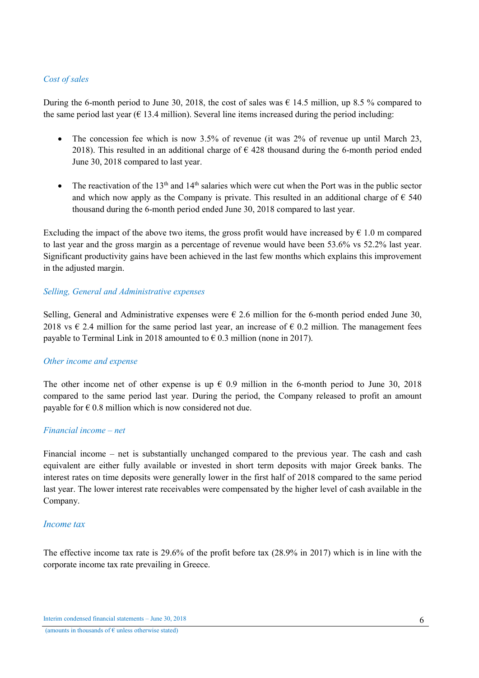# *Cost of sales*

During the 6-month period to June 30, 2018, the cost of sales was  $\epsilon$  14.5 million, up 8.5 % compared to the same period last year ( $\epsilon$  13.4 million). Several line items increased during the period including:

- The concession fee which is now 3.5% of revenue (it was 2% of revenue up until March 23, 2018). This resulted in an additional charge of  $\epsilon$  428 thousand during the 6-month period ended June 30, 2018 compared to last year.
- The reactivation of the 13<sup>th</sup> and 14<sup>th</sup> salaries which were cut when the Port was in the public sector and which now apply as the Company is private. This resulted in an additional charge of  $\epsilon$  540 thousand during the 6-month period ended June 30, 2018 compared to last year.

Excluding the impact of the above two items, the gross profit would have increased by  $\epsilon$  1.0 m compared to last year and the gross margin as a percentage of revenue would have been 53.6% vs 52.2% last year. Significant productivity gains have been achieved in the last few months which explains this improvement in the adjusted margin.

# *Selling, General and Administrative expenses*

Selling, General and Administrative expenses were  $\epsilon$  2.6 million for the 6-month period ended June 30, 2018 vs  $\epsilon$  2.4 million for the same period last year, an increase of  $\epsilon$  0.2 million. The management fees payable to Terminal Link in 2018 amounted to  $\epsilon$  0.3 million (none in 2017).

### *Other income and expense*

The other income net of other expense is up  $\epsilon$  0.9 million in the 6-month period to June 30, 2018 compared to the same period last year. During the period, the Company released to profit an amount payable for  $\epsilon$  0.8 million which is now considered not due.

### *Financial income – net*

Financial income – net is substantially unchanged compared to the previous year. The cash and cash equivalent are either fully available or invested in short term deposits with major Greek banks. The interest rates on time deposits were generally lower in the first half of 2018 compared to the same period last year. The lower interest rate receivables were compensated by the higher level of cash available in the Company.

### *Income tax*

The effective income tax rate is 29.6% of the profit before tax (28.9% in 2017) which is in line with the corporate income tax rate prevailing in Greece.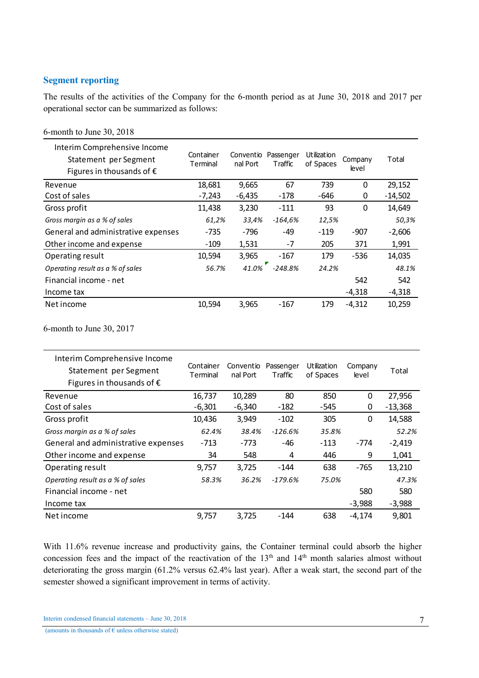# Segment reporting

6-month to June 30, 2018

The results of the activities of the Company for the 6-month period as at June 30, 2018 and 2017 per operational sector can be summarized as follows:

| Interim Comprehensive Income<br>Statement per Segment<br>Figures in thousands of $\epsilon$ | Container<br>Terminal | Conventio<br>nal Port | Passenger<br>Traffic | <b>Utilization</b><br>of Spaces | Company<br>level | Total     |
|---------------------------------------------------------------------------------------------|-----------------------|-----------------------|----------------------|---------------------------------|------------------|-----------|
| Revenue                                                                                     | 18,681                | 9,665                 | 67                   | 739                             | $\Omega$         | 29,152    |
| Cost of sales                                                                               | $-7,243$              | $-6,435$              | -178                 | -646                            | 0                | $-14,502$ |
| Gross profit                                                                                | 11,438                | 3,230                 | $-111$               | 93                              | $\mathbf 0$      | 14,649    |
| Gross margin as a % of sales                                                                | 61,2%                 | 33,4%                 | $-164,6%$            | 12,5%                           |                  | 50,3%     |
| General and administrative expenses                                                         | $-735$                | -796                  | -49                  | $-119$                          | $-907$           | $-2,606$  |
| Other income and expense                                                                    | $-109$                | 1,531                 | $-7$                 | 205                             | 371              | 1,991     |
| Operating result                                                                            | 10,594                | 3,965                 | -167                 | 179                             | $-536$           | 14,035    |
| Operating result as a % of sales                                                            | 56.7%                 | 41.0%                 | $-248.8%$            | 24.2%                           |                  | 48.1%     |
| Financial income - net                                                                      |                       |                       |                      |                                 | 542              | 542       |
| Income tax                                                                                  |                       |                       |                      |                                 | $-4,318$         | -4,318    |
| Net income                                                                                  | 10,594                | 3,965                 | $-167$               | 179                             | $-4,312$         | 10,259    |

6-month to June 30, 2017

| Interim Comprehensive Income<br>Statement per Segment<br>Figures in thousands of $\epsilon$ | Container<br>Terminal | Conventio<br>nal Port | Passenger<br>Traffic | Utilization<br>of Spaces | Company<br>level | Total     |
|---------------------------------------------------------------------------------------------|-----------------------|-----------------------|----------------------|--------------------------|------------------|-----------|
| Revenue                                                                                     | 16,737                | 10,289                | 80                   | 850                      | 0                | 27,956    |
| Cost of sales                                                                               | $-6,301$              | $-6,340$              | $-182$               | -545                     | 0                | $-13,368$ |
| Gross profit                                                                                | 10,436                | 3,949                 | $-102$               | 305                      | 0                | 14,588    |
| Gross margin as a % of sales                                                                | 62.4%                 | 38.4%                 | $-126.6%$            | 35.8%                    |                  | 52.2%     |
| General and administrative expenses                                                         | $-713$                | $-773$                | -46                  | $-113$                   | -774             | $-2,419$  |
| Other income and expense                                                                    | 34                    | 548                   | 4                    | 446                      | 9                | 1,041     |
| Operating result                                                                            | 9,757                 | 3,725                 | $-144$               | 638                      | $-765$           | 13,210    |
| Operating result as a % of sales                                                            | 58.3%                 | 36.2%                 | $-179.6%$            | 75.0%                    |                  | 47.3%     |
| Financial income - net                                                                      |                       |                       |                      |                          | 580              | 580       |
| Income tax                                                                                  |                       |                       |                      |                          | $-3,988$         | $-3,988$  |
| Net income                                                                                  | 9,757                 | 3,725                 | -144                 | 638                      | -4,174           | 9,801     |

With 11.6% revenue increase and productivity gains, the Container terminal could absorb the higher concession fees and the impact of the reactivation of the 13<sup>th</sup> and 14<sup>th</sup> month salaries almost without deteriorating the gross margin (61.2% versus 62.4% last year). After a weak start, the second part of the semester showed a significant improvement in terms of activity.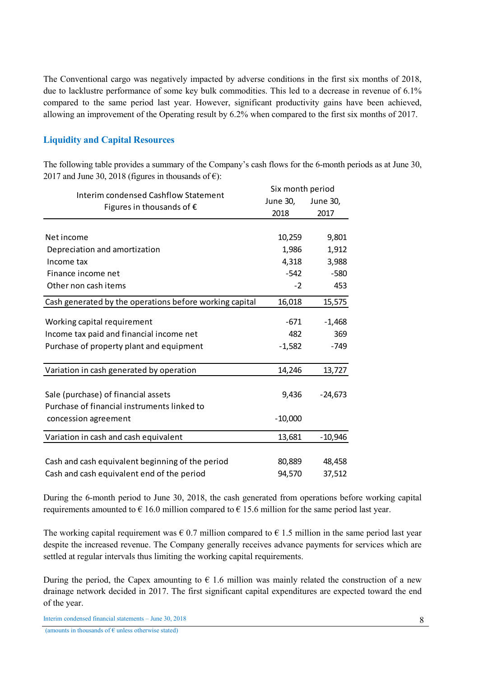The Conventional cargo was negatively impacted by adverse conditions in the first six months of 2018, due to lacklustre performance of some key bulk commodities. This led to a decrease in revenue of 6.1% compared to the same period last year. However, significant productivity gains have been achieved, allowing an improvement of the Operating result by 6.2% when compared to the first six months of 2017.

# Liquidity and Capital Resources

The following table provides a summary of the Company's cash flows for the 6-month periods as at June 30, 2017 and June 30, 2018 (figures in thousands of  $\epsilon$ ):

| Interim condensed Cashflow Statement                    | Six month period |           |
|---------------------------------------------------------|------------------|-----------|
|                                                         | June 30,         | June 30,  |
| Figures in thousands of $\epsilon$                      | 2018             | 2017      |
|                                                         |                  |           |
| Net income                                              | 10,259           | 9,801     |
| Depreciation and amortization                           | 1,986            | 1,912     |
| Income tax                                              | 4,318            | 3,988     |
| Finance income net                                      | $-542$           | $-580$    |
| Other non cash items                                    | $-2$             | 453       |
| Cash generated by the operations before working capital | 16,018           | 15,575    |
| Working capital requirement                             | -671             | $-1,468$  |
| Income tax paid and financial income net                | 482              | 369       |
| Purchase of property plant and equipment                | $-1,582$         | $-749$    |
|                                                         |                  |           |
| Variation in cash generated by operation                | 14,246           | 13,727    |
|                                                         |                  |           |
| Sale (purchase) of financial assets                     | 9,436            | $-24,673$ |
| Purchase of financial instruments linked to             |                  |           |
| concession agreement                                    | $-10,000$        |           |
| Variation in cash and cash equivalent                   | 13,681           | $-10,946$ |
|                                                         |                  |           |
| Cash and cash equivalent beginning of the period        | 80,889           | 48,458    |
| Cash and cash equivalent end of the period              | 94,570           | 37,512    |

During the 6-month period to June 30, 2018, the cash generated from operations before working capital requirements amounted to  $\epsilon$  16.0 million compared to  $\epsilon$  15.6 million for the same period last year.

The working capital requirement was  $\epsilon$  0.7 million compared to  $\epsilon$  1.5 million in the same period last year despite the increased revenue. The Company generally receives advance payments for services which are settled at regular intervals thus limiting the working capital requirements.

During the period, the Capex amounting to  $\epsilon$  1.6 million was mainly related the construction of a new drainage network decided in 2017. The first significant capital expenditures are expected toward the end of the year.

Interim condensed financial statements – June 30, 2018

(amounts in thousands of  $\epsilon$  unless otherwise stated)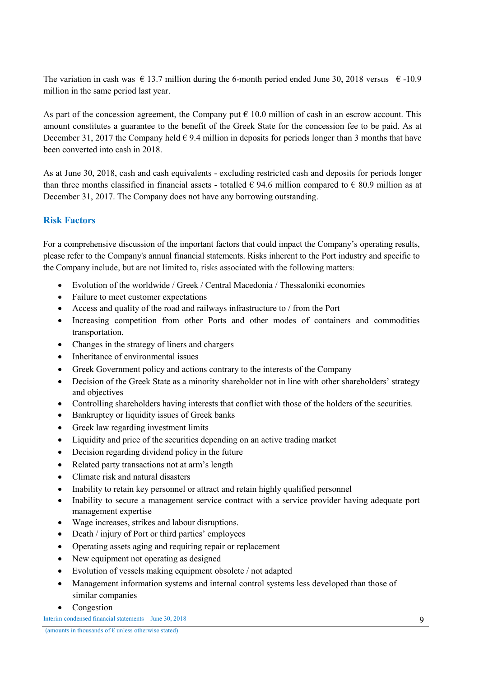The variation in cash was  $\epsilon$  13.7 million during the 6-month period ended June 30, 2018 versus  $\epsilon$  -10.9 million in the same period last year.

As part of the concession agreement, the Company put  $\epsilon$  10.0 million of cash in an escrow account. This amount constitutes a guarantee to the benefit of the Greek State for the concession fee to be paid. As at December 31, 2017 the Company held  $\epsilon$  9.4 million in deposits for periods longer than 3 months that have been converted into cash in 2018.

As at June 30, 2018, cash and cash equivalents - excluding restricted cash and deposits for periods longer than three months classified in financial assets - totalled  $\epsilon$  94.6 million compared to  $\epsilon$  80.9 million as at December 31, 2017. The Company does not have any borrowing outstanding.

# Risk Factors

For a comprehensive discussion of the important factors that could impact the Company's operating results, please refer to the Company's annual financial statements. Risks inherent to the Port industry and specific to the Company include, but are not limited to, risks associated with the following matters:

- Evolution of the worldwide / Greek / Central Macedonia / Thessaloniki economies
- Failure to meet customer expectations
- Access and quality of the road and railways infrastructure to / from the Port
- Increasing competition from other Ports and other modes of containers and commodities transportation.
- Changes in the strategy of liners and chargers
- Inheritance of environmental issues
- Greek Government policy and actions contrary to the interests of the Company
- Decision of the Greek State as a minority shareholder not in line with other shareholders' strategy and objectives
- Controlling shareholders having interests that conflict with those of the holders of the securities.
- Bankruptcy or liquidity issues of Greek banks
- Greek law regarding investment limits
- Liquidity and price of the securities depending on an active trading market
- Decision regarding dividend policy in the future
- Related party transactions not at arm's length
- Climate risk and natural disasters
- Inability to retain key personnel or attract and retain highly qualified personnel
- Inability to secure a management service contract with a service provider having adequate port management expertise
- Wage increases, strikes and labour disruptions.
- Death / injury of Port or third parties' employees
- Operating assets aging and requiring repair or replacement
- New equipment not operating as designed
- Evolution of vessels making equipment obsolete / not adapted
- Management information systems and internal control systems less developed than those of similar companies
- Congestion

Interim condensed financial statements – June 30, 2018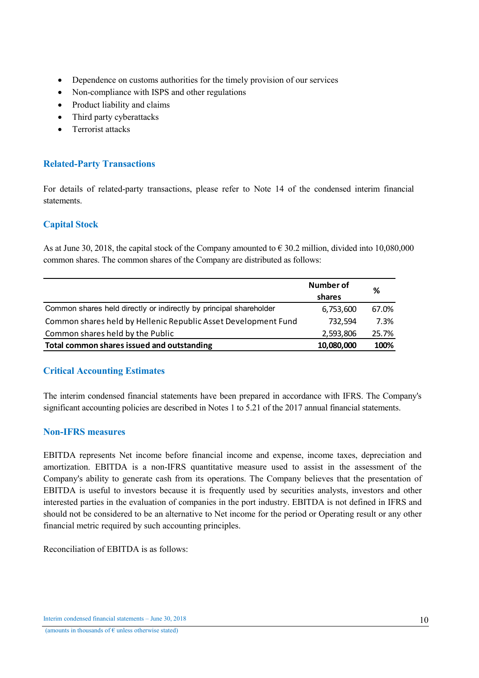- Dependence on customs authorities for the timely provision of our services
- Non-compliance with ISPS and other regulations
- Product liability and claims
- Third party cyberattacks
- Terrorist attacks

# Related-Party Transactions

For details of related-party transactions, please refer to Note 14 of the condensed interim financial statements.

# Capital Stock

As at June 30, 2018, the capital stock of the Company amounted to  $\epsilon$  30.2 million, divided into 10,080,000 common shares. The common shares of the Company are distributed as follows:

|                                                                    | Number of  | %     |
|--------------------------------------------------------------------|------------|-------|
|                                                                    | shares     |       |
| Common shares held directly or indirectly by principal shareholder | 6,753,600  | 67.0% |
| Common shares held by Hellenic Republic Asset Development Fund     | 732,594    | 7.3%  |
| Common shares held by the Public                                   | 2,593,806  | 25.7% |
| Total common shares issued and outstanding                         | 10,080,000 | 100%  |

# Critical Accounting Estimates

The interim condensed financial statements have been prepared in accordance with IFRS. The Company's significant accounting policies are described in Notes 1 to 5.21 of the 2017 annual financial statements.

# Non-IFRS measures

EBITDA represents Net income before financial income and expense, income taxes, depreciation and amortization. EBITDA is a non-IFRS quantitative measure used to assist in the assessment of the Company's ability to generate cash from its operations. The Company believes that the presentation of EBITDA is useful to investors because it is frequently used by securities analysts, investors and other interested parties in the evaluation of companies in the port industry. EBITDA is not defined in IFRS and should not be considered to be an alternative to Net income for the period or Operating result or any other financial metric required by such accounting principles.

Reconciliation of EBITDA is as follows: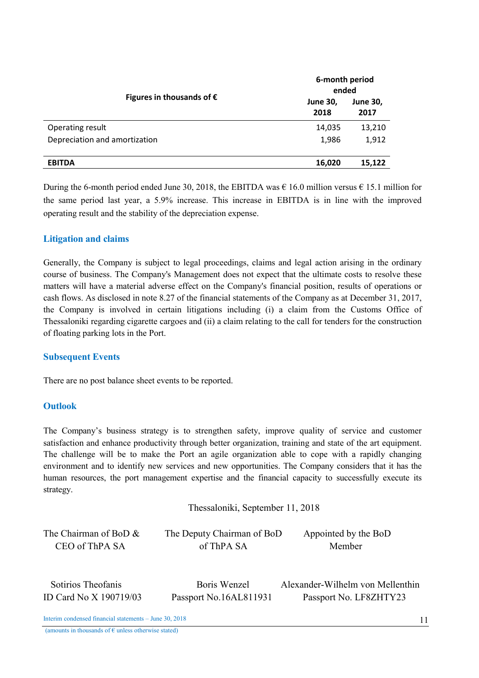|                                    |                         | 6-month period<br>ended |  |  |
|------------------------------------|-------------------------|-------------------------|--|--|
| Figures in thousands of $\epsilon$ | <b>June 30,</b><br>2018 | <b>June 30,</b><br>2017 |  |  |
| Operating result                   | 14,035                  | 13,210                  |  |  |
| Depreciation and amortization      | 1.986                   | 1,912                   |  |  |
| <b>EBITDA</b>                      | 16,020                  | 15,122                  |  |  |

During the 6-month period ended June 30, 2018, the EBITDA was  $\epsilon$  16.0 million versus  $\epsilon$  15.1 million for the same period last year, a 5.9% increase. This increase in EBITDA is in line with the improved operating result and the stability of the depreciation expense.

# Litigation and claims

Generally, the Company is subject to legal proceedings, claims and legal action arising in the ordinary course of business. The Company's Management does not expect that the ultimate costs to resolve these matters will have a material adverse effect on the Company's financial position, results of operations or cash flows. As disclosed in note 8.27 of the financial statements of the Company as at December 31, 2017, the Company is involved in certain litigations including (i) a claim from the Customs Office of Thessaloniki regarding cigarette cargoes and (ii) a claim relating to the call for tenders for the construction of floating parking lots in the Port.

### Subsequent Events

There are no post balance sheet events to be reported.

### **Outlook**

The Company's business strategy is to strengthen safety, improve quality of service and customer satisfaction and enhance productivity through better organization, training and state of the art equipment. The challenge will be to make the Port an agile organization able to cope with a rapidly changing environment and to identify new services and new opportunities. The Company considers that it has the human resources, the port management expertise and the financial capacity to successfully execute its strategy.

Thessaloniki, September 11, 2018

| The Chairman of BoD $\&$ | The Deputy Chairman of BoD | Appointed by the BoD             |
|--------------------------|----------------------------|----------------------------------|
| CEO of ThPA SA           | of ThPA SA                 | Member                           |
| Sotirios Theofanis       | Boris Wenzel               | Alexander-Wilhelm von Mellenthin |

ID Card No X 190719/03 Passport No.16AL811931 Passport No. LF8ZHTY23

Interim condensed financial statements – June 30, 2018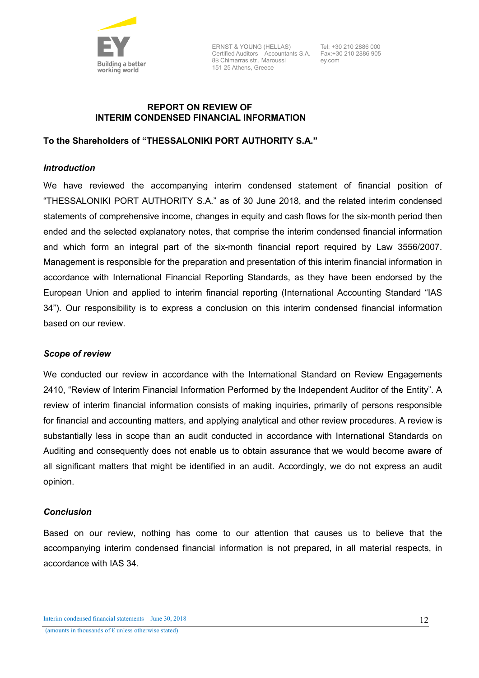

ERNST & YOUNG (HELLAS) Certified Auditors – Accountants S.A. Fax:+30 210 2886 905 8B Chimarras str., Maroussi 151 25 Athens, Greece

Tel: +30 210 2886 000 ey.com

# REPORT ON REVIEW OF INTERIM CONDENSED FINANCIAL INFORMATION

## To the Shareholders of "THESSALONIKI PORT AUTHORITY S.A."

## *Introduction*

We have reviewed the accompanying interim condensed statement of financial position of "THESSALONIKI PORT AUTHORITY S.A." as of 30 June 2018, and the related interim condensed statements of comprehensive income, changes in equity and cash flows for the six-month period then ended and the selected explanatory notes, that comprise the interim condensed financial information and which form an integral part of the six-month financial report required by Law 3556/2007. Management is responsible for the preparation and presentation of this interim financial information in accordance with International Financial Reporting Standards, as they have been endorsed by the European Union and applied to interim financial reporting (International Accounting Standard "IAS 34"). Our responsibility is to express a conclusion on this interim condensed financial information based on our review.

### *Scope of review*

We conducted our review in accordance with the International Standard on Review Engagements 2410, "Review of Interim Financial Information Performed by the Independent Auditor of the Entity". A review of interim financial information consists of making inquiries, primarily of persons responsible for financial and accounting matters, and applying analytical and other review procedures. A review is substantially less in scope than an audit conducted in accordance with International Standards on Auditing and consequently does not enable us to obtain assurance that we would become aware of all significant matters that might be identified in an audit. Accordingly, we do not express an audit opinion.

### *Conclusion*

Based on our review, nothing has come to our attention that causes us to believe that the accompanying interim condensed financial information is not prepared, in all material respects, in accordance with IAS 34.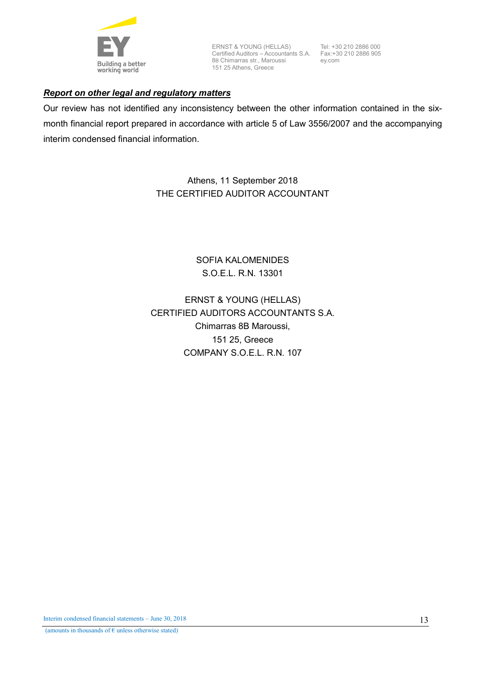

ERNST & YOUNG (HELLAS) Certified Auditors – Accountants S.A. 8B Chimarras str., Maroussi 151 25 Athens, Greece

Tel: +30 210 2886 000 Fax:+30 210 2886 905 ey.com

# *Report on other legal and regulatory matters*

Our review has not identified any inconsistency between the other information contained in the sixmonth financial report prepared in accordance with article 5 of Law 3556/2007 and the accompanying interim condensed financial information.

> Athens, 11 September 2018 THE CERTIFIED AUDITOR ACCOUNTANT

> > SOFIA KALOMENIDES S.O.E.L. R.N. 13301

ERNST & YOUNG (HELLAS) CERTIFIED AUDITORS ACCOUNTANTS S.A. Chimarras 8B Maroussi, 151 25, Greece COMPANY S.O.E.L. R.N. 107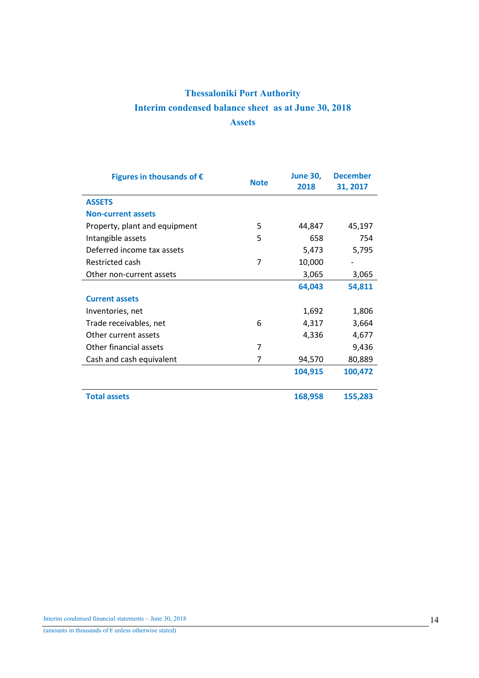# Thessaloniki Port Authority Interim condensed balance sheet as at June 30, 2018 **Assets**

| Figures in thousands of $\epsilon$ | <b>Note</b> | <b>June 30,</b><br>2018 | <b>December</b><br>31, 2017 |
|------------------------------------|-------------|-------------------------|-----------------------------|
| <b>ASSETS</b>                      |             |                         |                             |
| <b>Non-current assets</b>          |             |                         |                             |
| Property, plant and equipment      | 5           | 44,847                  | 45,197                      |
| Intangible assets                  | 5           | 658                     | 754                         |
| Deferred income tax assets         |             | 5,473                   | 5,795                       |
| Restricted cash                    | 7           | 10,000                  |                             |
| Other non-current assets           |             | 3,065                   | 3,065                       |
|                                    |             | 64,043                  | 54,811                      |
| <b>Current assets</b>              |             |                         |                             |
| Inventories, net                   |             | 1,692                   | 1,806                       |
| Trade receivables, net             | 6           | 4,317                   | 3,664                       |
| Other current assets               |             | 4,336                   | 4,677                       |
| Other financial assets             | 7           |                         | 9,436                       |
| Cash and cash equivalent           | 7           | 94,570                  | 80,889                      |
|                                    |             | 104,915                 | 100,472                     |
|                                    |             |                         |                             |
| <b>Total assets</b>                |             | 168,958                 | 155,283                     |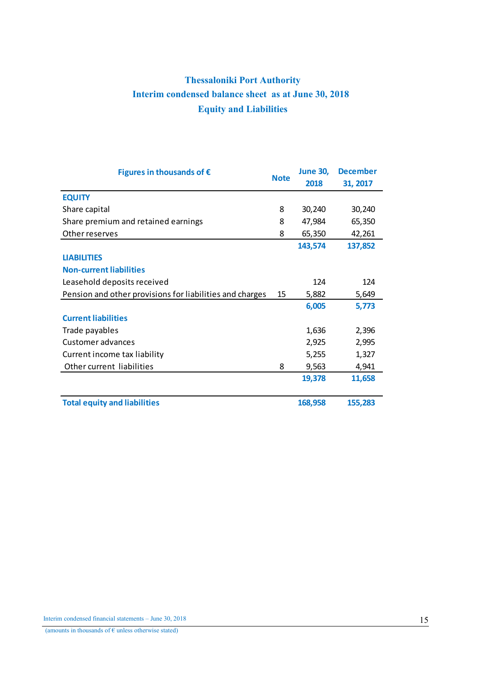# Thessaloniki Port Authority Interim condensed balance sheet as at June 30, 2018 Equity and Liabilities

| Figures in thousands of $\epsilon$                       |             | <b>June 30,</b> | <b>December</b> |
|----------------------------------------------------------|-------------|-----------------|-----------------|
|                                                          | <b>Note</b> | 2018            | 31, 2017        |
| <b>EQUITY</b>                                            |             |                 |                 |
| Share capital                                            | 8           | 30,240          | 30,240          |
| Share premium and retained earnings                      | 8           | 47,984          | 65,350          |
| Other reserves                                           | 8           | 65,350          | 42,261          |
|                                                          |             | 143,574         | 137,852         |
| <b>LIABILITIES</b>                                       |             |                 |                 |
| <b>Non-current liabilities</b>                           |             |                 |                 |
| Leasehold deposits received                              |             | 124             | 124             |
| Pension and other provisions for liabilities and charges | 15          | 5,882           | 5,649           |
|                                                          |             | 6,005           | 5,773           |
| <b>Current liabilities</b>                               |             |                 |                 |
| Trade payables                                           |             | 1,636           | 2,396           |
| Customer advances                                        |             | 2,925           | 2,995           |
| Current income tax liability                             |             | 5,255           | 1,327           |
| Other current liabilities                                | 8           | 9,563           | 4,941           |
|                                                          |             | 19,378          | 11,658          |
|                                                          |             |                 |                 |
| <b>Total equity and liabilities</b>                      |             | 168,958         | 155,283         |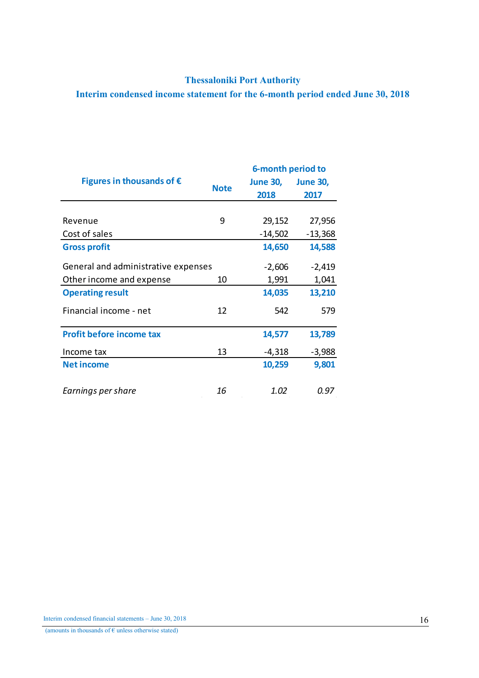# Thessaloniki Port Authority

Interim condensed income statement for the 6-month period ended June 30, 2018

|                                     |             | 6-month period to |                 |  |  |
|-------------------------------------|-------------|-------------------|-----------------|--|--|
| Figures in thousands of $\epsilon$  | <b>Note</b> | <b>June 30,</b>   | <b>June 30,</b> |  |  |
|                                     |             | 2018              | 2017            |  |  |
|                                     |             |                   |                 |  |  |
| Revenue                             | 9           | 29,152            | 27,956          |  |  |
| Cost of sales                       |             | $-14,502$         | $-13,368$       |  |  |
| <b>Gross profit</b>                 |             | 14,650            | 14,588          |  |  |
| General and administrative expenses |             | $-2,606$          | $-2,419$        |  |  |
| Other income and expense            | 10          | 1,991             | 1,041           |  |  |
| <b>Operating result</b>             |             | 14,035            | 13,210          |  |  |
| Financial income - net              | 12          | 542               | 579             |  |  |
| <b>Profit before income tax</b>     |             | 14,577            | 13,789          |  |  |
| Income tax                          | 13          | $-4,318$          | $-3,988$        |  |  |
| <b>Net income</b>                   |             | 10,259            | 9,801           |  |  |
| Earnings per share                  | 16          | 1.02              | 0.97            |  |  |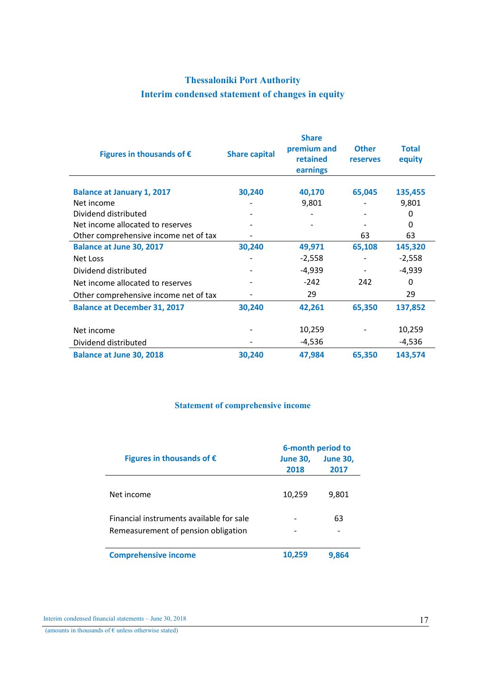# Thessaloniki Port Authority Interim condensed statement of changes in equity

| Figures in thousands of $\epsilon$    | <b>Share capital</b> | <b>Share</b><br>premium and<br>retained<br>earnings | <b>Other</b><br><b>reserves</b> | <b>Total</b><br>equity |
|---------------------------------------|----------------------|-----------------------------------------------------|---------------------------------|------------------------|
| <b>Balance at January 1, 2017</b>     | 30,240               | 40,170                                              | 65,045                          | 135,455                |
| Net income                            |                      | 9,801                                               |                                 | 9,801                  |
| Dividend distributed                  |                      |                                                     |                                 | 0                      |
| Net income allocated to reserves      |                      |                                                     |                                 | 0                      |
| Other comprehensive income net of tax |                      |                                                     | 63                              | 63                     |
| <b>Balance at June 30, 2017</b>       | 30,240               | 49,971                                              | 65,108                          | 145,320                |
| Net Loss                              |                      | $-2,558$                                            |                                 | $-2,558$               |
| Dividend distributed                  |                      | -4,939                                              |                                 | $-4,939$               |
| Net income allocated to reserves      |                      | $-242$                                              | 242                             | 0                      |
| Other comprehensive income net of tax |                      | 29                                                  |                                 | 29                     |
| <b>Balance at December 31, 2017</b>   | 30,240               | 42,261                                              | 65,350                          | 137,852                |
|                                       |                      |                                                     |                                 |                        |
| Net income                            |                      | 10,259                                              |                                 | 10,259                 |
| Dividend distributed                  |                      | $-4,536$                                            |                                 | $-4,536$               |
| <b>Balance at June 30, 2018</b>       | 30,240               | 47,984                                              | 65,350                          | 143,574                |

# Statement of comprehensive income

|                                          | 6-month period to |                 |  |  |
|------------------------------------------|-------------------|-----------------|--|--|
| Figures in thousands of $\epsilon$       | <b>June 30,</b>   | <b>June 30,</b> |  |  |
|                                          | 2018              | 2017            |  |  |
| Net income                               | 10,259            | 9,801           |  |  |
| Financial instruments available for sale |                   | 63              |  |  |
| Remeasurement of pension obligation      |                   |                 |  |  |
| <b>Comprehensive income</b>              | 10.259            | 9.864           |  |  |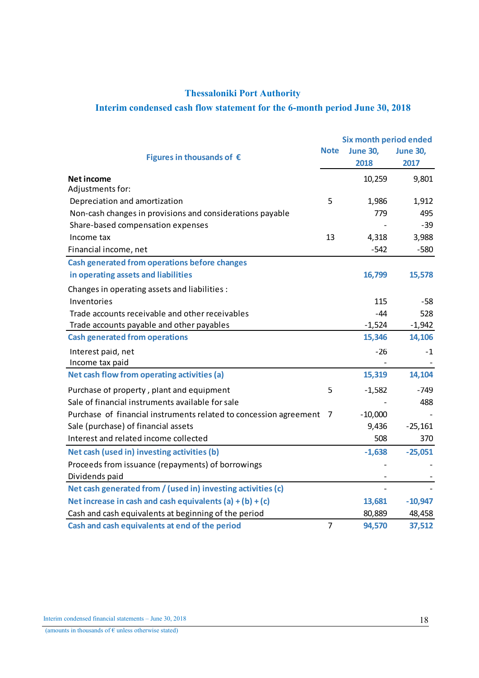# Thessaloniki Port Authority

# Interim condensed cash flow statement for the 6-month period June 30, 2018

|                                                                   |                | <b>Six month period ended</b> |                 |
|-------------------------------------------------------------------|----------------|-------------------------------|-----------------|
| Figures in thousands of $\epsilon$                                | <b>Note</b>    | <b>June 30,</b>               | <b>June 30,</b> |
|                                                                   |                | 2018                          | 2017            |
| <b>Net income</b>                                                 |                | 10,259                        | 9,801           |
| Adjustments for:                                                  |                |                               |                 |
| Depreciation and amortization                                     | 5              | 1,986                         | 1,912           |
| Non-cash changes in provisions and considerations payable         |                | 779                           | 495             |
| Share-based compensation expenses                                 |                |                               | $-39$           |
| Income tax                                                        | 13             | 4,318                         | 3,988           |
| Financial income, net                                             |                | $-542$                        | $-580$          |
| <b>Cash generated from operations before changes</b>              |                |                               |                 |
| in operating assets and liabilities                               |                | 16,799                        | 15,578          |
| Changes in operating assets and liabilities :                     |                |                               |                 |
| Inventories                                                       |                | 115                           | $-58$           |
| Trade accounts receivable and other receivables                   |                | $-44$                         | 528             |
| Trade accounts payable and other payables                         |                | $-1,524$                      | $-1,942$        |
| <b>Cash generated from operations</b>                             |                | 15,346                        | 14,106          |
| Interest paid, net                                                |                | -26                           | -1              |
| Income tax paid                                                   |                |                               |                 |
| Net cash flow from operating activities (a)                       |                | 15,319                        | 14,104          |
| Purchase of property, plant and equipment                         | 5              | $-1,582$                      | -749            |
| Sale of financial instruments available for sale                  |                |                               | 488             |
| Purchase of financial instruments related to concession agreement | 7              | $-10,000$                     |                 |
| Sale (purchase) of financial assets                               |                | 9,436                         | $-25,161$       |
| Interest and related income collected                             |                | 508                           | 370             |
| Net cash (used in) investing activities (b)                       |                | $-1,638$                      | $-25,051$       |
| Proceeds from issuance (repayments) of borrowings                 |                |                               |                 |
| Dividends paid                                                    |                |                               |                 |
| Net cash generated from / (used in) investing activities (c)      |                | $\qquad \qquad \blacksquare$  |                 |
| Net increase in cash and cash equivalents (a) $+ (b) + (c)$       |                | 13,681                        | $-10,947$       |
| Cash and cash equivalents at beginning of the period              |                | 80,889                        | 48,458          |
| Cash and cash equivalents at end of the period                    | $\overline{7}$ | 94,570                        | 37,512          |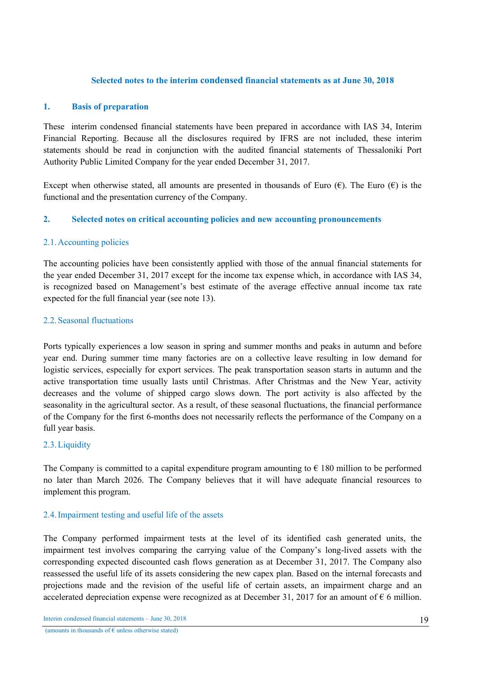# Selected notes to the interim condensed financial statements as at June 30, 2018

## 1. Basis of preparation

These interim condensed financial statements have been prepared in accordance with IAS 34, Interim Financial Reporting. Because all the disclosures required by IFRS are not included, these interim statements should be read in conjunction with the audited financial statements of Thessaloniki Port Authority Public Limited Company for the year ended December 31, 2017.

Except when otherwise stated, all amounts are presented in thousands of Euro ( $\epsilon$ ). The Euro ( $\epsilon$ ) is the functional and the presentation currency of the Company.

## 2. Selected notes on critical accounting policies and new accounting pronouncements

## 2.1.Accounting policies

The accounting policies have been consistently applied with those of the annual financial statements for the year ended December 31, 2017 except for the income tax expense which, in accordance with IAS 34, is recognized based on Management's best estimate of the average effective annual income tax rate expected for the full financial year (see note 13).

## 2.2.Seasonal fluctuations

Ports typically experiences a low season in spring and summer months and peaks in autumn and before year end. During summer time many factories are on a collective leave resulting in low demand for logistic services, especially for export services. The peak transportation season starts in autumn and the active transportation time usually lasts until Christmas. After Christmas and the New Year, activity decreases and the volume of shipped cargo slows down. The port activity is also affected by the seasonality in the agricultural sector. As a result, of these seasonal fluctuations, the financial performance of the Company for the first 6-months does not necessarily reflects the performance of the Company on a full year basis.

### 2.3.Liquidity

The Company is committed to a capital expenditure program amounting to  $\epsilon$  180 million to be performed no later than March 2026. The Company believes that it will have adequate financial resources to implement this program.

### 2.4.Impairment testing and useful life of the assets

The Company performed impairment tests at the level of its identified cash generated units, the impairment test involves comparing the carrying value of the Company's long-lived assets with the corresponding expected discounted cash flows generation as at December 31, 2017. The Company also reassessed the useful life of its assets considering the new capex plan. Based on the internal forecasts and projections made and the revision of the useful life of certain assets, an impairment charge and an accelerated depreciation expense were recognized as at December 31, 2017 for an amount of  $\epsilon$  6 million.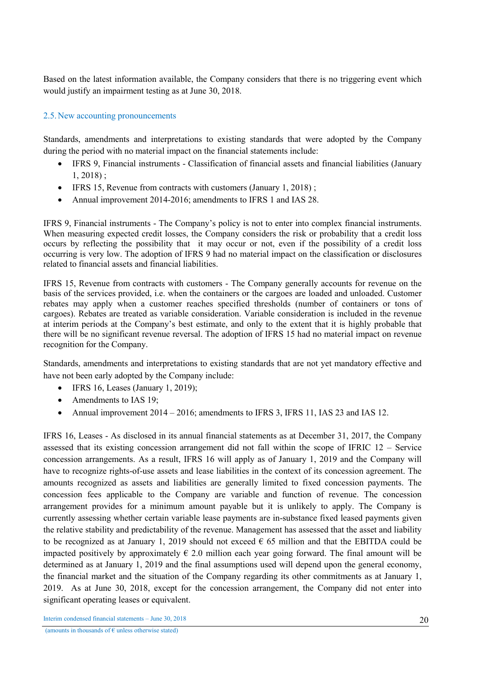Based on the latest information available, the Company considers that there is no triggering event which would justify an impairment testing as at June 30, 2018.

# 2.5.New accounting pronouncements

Standards, amendments and interpretations to existing standards that were adopted by the Company during the period with no material impact on the financial statements include:

- IFRS 9, Financial instruments Classification of financial assets and financial liabilities (January 1, 2018) ;
- IFRS 15, Revenue from contracts with customers (January 1, 2018) ;
- Annual improvement 2014-2016; amendments to IFRS 1 and IAS 28.

IFRS 9, Financial instruments - The Company's policy is not to enter into complex financial instruments. When measuring expected credit losses, the Company considers the risk or probability that a credit loss occurs by reflecting the possibility that it may occur or not, even if the possibility of a credit loss occurring is very low. The adoption of IFRS 9 had no material impact on the classification or disclosures related to financial assets and financial liabilities.

IFRS 15, Revenue from contracts with customers - The Company generally accounts for revenue on the basis of the services provided, i.e. when the containers or the cargoes are loaded and unloaded. Customer rebates may apply when a customer reaches specified thresholds (number of containers or tons of cargoes). Rebates are treated as variable consideration. Variable consideration is included in the revenue at interim periods at the Company's best estimate, and only to the extent that it is highly probable that there will be no significant revenue reversal. The adoption of IFRS 15 had no material impact on revenue recognition for the Company.

Standards, amendments and interpretations to existing standards that are not yet mandatory effective and have not been early adopted by the Company include:

- $\bullet$  IFRS 16, Leases (January 1, 2019);
- Amendments to IAS 19;
- Annual improvement  $2014 2016$ ; amendments to IFRS 3, IFRS 11, IAS 23 and IAS 12.

IFRS 16, Leases - As disclosed in its annual financial statements as at December 31, 2017, the Company assessed that its existing concession arrangement did not fall within the scope of IFRIC 12 – Service concession arrangements. As a result, IFRS 16 will apply as of January 1, 2019 and the Company will have to recognize rights-of-use assets and lease liabilities in the context of its concession agreement. The amounts recognized as assets and liabilities are generally limited to fixed concession payments. The concession fees applicable to the Company are variable and function of revenue. The concession arrangement provides for a minimum amount payable but it is unlikely to apply. The Company is currently assessing whether certain variable lease payments are in-substance fixed leased payments given the relative stability and predictability of the revenue. Management has assessed that the asset and liability to be recognized as at January 1, 2019 should not exceed  $\epsilon$  65 million and that the EBITDA could be impacted positively by approximately  $\epsilon$  2.0 million each year going forward. The final amount will be determined as at January 1, 2019 and the final assumptions used will depend upon the general economy, the financial market and the situation of the Company regarding its other commitments as at January 1, 2019. As at June 30, 2018, except for the concession arrangement, the Company did not enter into significant operating leases or equivalent.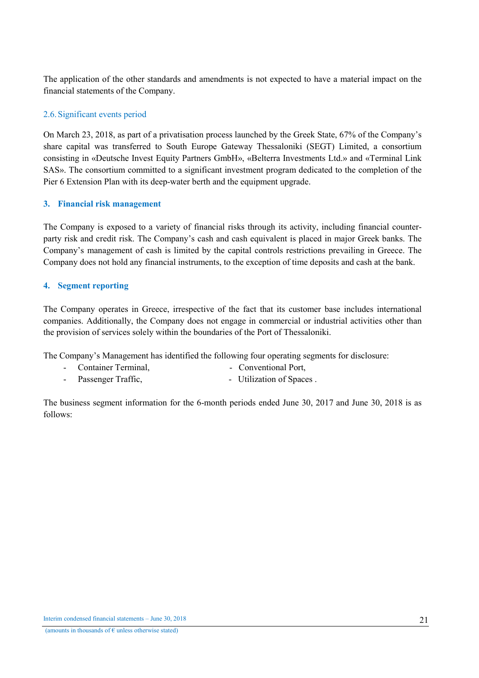The application of the other standards and amendments is not expected to have a material impact on the financial statements of the Company.

# 2.6.Significant events period

On March 23, 2018, as part of a privatisation process launched by the Greek State, 67% of the Company's share capital was transferred to South Europe Gateway Thessaloniki (SEGT) Limited, a consortium consisting in «Deutsche Invest Equity Partners GmbH», «Belterra Investments Ltd.» and «Terminal Link SAS». The consortium committed to a significant investment program dedicated to the completion of the Pier 6 Extension Plan with its deep-water berth and the equipment upgrade.

# 3. Financial risk management

The Company is exposed to a variety of financial risks through its activity, including financial counterparty risk and credit risk. The Company's cash and cash equivalent is placed in major Greek banks. The Company's management of cash is limited by the capital controls restrictions prevailing in Greece. The Company does not hold any financial instruments, to the exception of time deposits and cash at the bank.

# 4. Segment reporting

The Company operates in Greece, irrespective of the fact that its customer base includes international companies. Additionally, the Company does not engage in commercial or industrial activities other than the provision of services solely within the boundaries of the Port of Thessaloniki.

The Company's Management has identified the following four operating segments for disclosure:

- Container Terminal, The Conventional Port,
- Passenger Traffic,  $U$  Utilization of Spaces .

The business segment information for the 6-month periods ended June 30, 2017 and June 30, 2018 is as follows: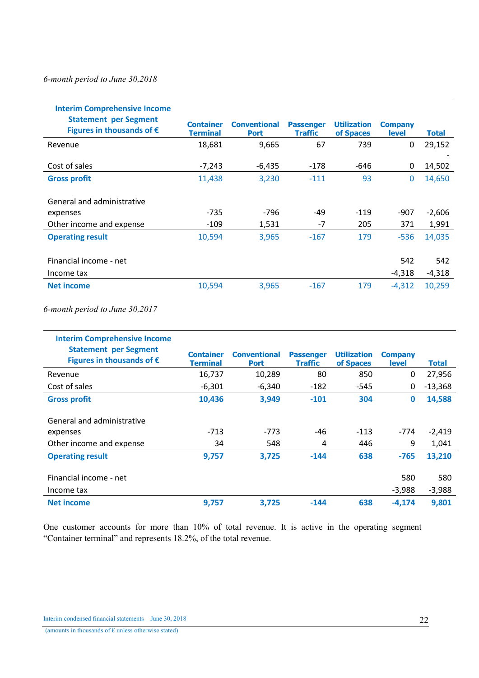# *6-month period to June 30,2018*

| <b>Interim Comprehensive Income</b>                                |                                     |                                    |                                    |                                 |                                |                   |
|--------------------------------------------------------------------|-------------------------------------|------------------------------------|------------------------------------|---------------------------------|--------------------------------|-------------------|
| <b>Statement per Segment</b><br>Figures in thousands of $\epsilon$ | <b>Container</b><br><b>Terminal</b> | <b>Conventional</b><br><b>Port</b> | <b>Passenger</b><br><b>Traffic</b> | <b>Utilization</b><br>of Spaces | <b>Company</b><br><b>level</b> | <b>Total</b>      |
| Revenue                                                            | 18,681                              | 9,665                              | 67                                 | 739                             | 0                              | 29,152            |
| Cost of sales                                                      | $-7,243$                            | $-6,435$                           | $-178$                             | -646                            | 0                              | 14,502            |
| <b>Gross profit</b>                                                | 11,438                              | 3,230                              | $-111$                             | 93                              | $\mathbf{0}$                   | 14,650            |
| General and administrative<br>expenses<br>Other income and expense | $-735$<br>$-109$                    | -796<br>1,531                      | -49<br>$-7$                        | $-119$<br>205                   | $-907$<br>371                  | $-2,606$<br>1,991 |
| <b>Operating result</b>                                            | 10,594                              | 3,965                              | $-167$                             | 179                             | $-536$                         | 14,035            |
| Financial income - net<br>Income tax                               |                                     |                                    |                                    |                                 | 542<br>$-4,318$                | 542<br>$-4,318$   |
| <b>Net income</b>                                                  | 10,594                              | 3,965                              | $-167$                             | 179                             | $-4.312$                       | 10,259            |

*6-month period to June 30,2017*

| <b>Interim Comprehensive Income</b>                                |                                     |                                    |                                    |                                 |                                |           |
|--------------------------------------------------------------------|-------------------------------------|------------------------------------|------------------------------------|---------------------------------|--------------------------------|-----------|
| <b>Statement per Segment</b><br>Figures in thousands of $\epsilon$ | <b>Container</b><br><b>Terminal</b> | <b>Conventional</b><br><b>Port</b> | <b>Passenger</b><br><b>Traffic</b> | <b>Utilization</b><br>of Spaces | <b>Company</b><br><b>level</b> | Total     |
| Revenue                                                            | 16,737                              | 10,289                             | 80                                 | 850                             | 0                              | 27,956    |
| Cost of sales                                                      | $-6,301$                            | $-6,340$                           | -182                               | $-545$                          | 0                              | $-13,368$ |
| <b>Gross profit</b>                                                | 10,436                              | 3,949                              | $-101$                             | 304                             | $\mathbf 0$                    | 14,588    |
|                                                                    |                                     |                                    |                                    |                                 |                                |           |
| General and administrative                                         |                                     |                                    |                                    |                                 |                                |           |
| expenses                                                           | $-713$                              | $-773$                             | -46                                | $-113$                          | -774                           | $-2,419$  |
| Other income and expense                                           | 34                                  | 548                                | 4                                  | 446                             | 9                              | 1,041     |
| <b>Operating result</b>                                            | 9,757                               | 3,725                              | $-144$                             | 638                             | $-765$                         | 13,210    |
|                                                                    |                                     |                                    |                                    |                                 |                                |           |
| Financial income - net                                             |                                     |                                    |                                    |                                 | 580                            | 580       |
| Income tax                                                         |                                     |                                    |                                    |                                 | -3,988                         | $-3,988$  |
| <b>Net income</b>                                                  | 9,757                               | 3,725                              | $-144$                             | 638                             | $-4,174$                       | 9,801     |

One customer accounts for more than 10% of total revenue. It is active in the operating segment "Container terminal" and represents 18.2%, of the total revenue.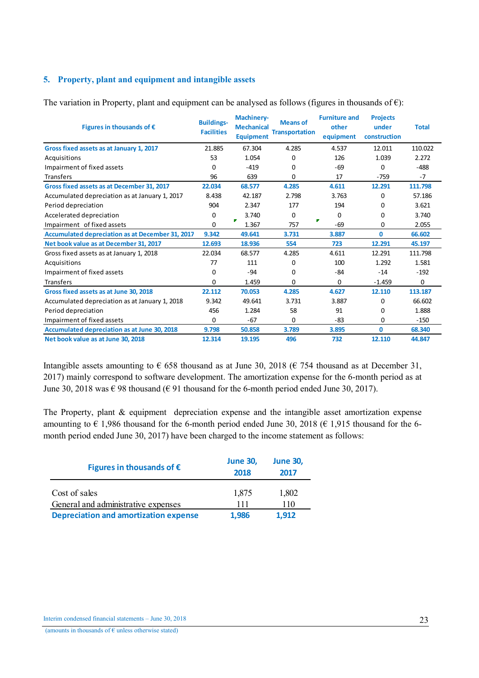# 5. Property, plant and equipment and intangible assets

| Figures in thousands of $\epsilon$                      | <b>Buildings-</b><br><b>Facilities</b> | <b>Machinery-</b><br><b>Mechanical</b><br><b>Equipment</b> | <b>Means of</b><br><b>Transportation</b> | <b>Furniture and</b><br>other<br>equipment | <b>Projects</b><br>under<br>construction | <b>Total</b> |
|---------------------------------------------------------|----------------------------------------|------------------------------------------------------------|------------------------------------------|--------------------------------------------|------------------------------------------|--------------|
| Gross fixed assets as at January 1, 2017                | 21.885                                 | 67.304                                                     | 4.285                                    | 4.537                                      | 12.011                                   | 110.022      |
| Acquisitions                                            | 53                                     | 1.054                                                      | 0                                        | 126                                        | 1.039                                    | 2.272        |
| Impairment of fixed assets                              | 0                                      | $-419$                                                     | 0                                        | $-69$                                      | 0                                        | $-488$       |
| Transfers                                               | 96                                     | 639                                                        | 0                                        | 17                                         | $-759$                                   | $-7$         |
| Gross fixed assets as at December 31, 2017              | 22.034                                 | 68.577                                                     | 4.285                                    | 4.611                                      | 12.291                                   | 111.798      |
| Accumulated depreciation as at January 1, 2017          | 8.438                                  | 42.187                                                     | 2.798                                    | 3.763                                      | 0                                        | 57.186       |
| Period depreciation                                     | 904                                    | 2.347                                                      | 177                                      | 194                                        | 0                                        | 3.621        |
| Accelerated depreciation                                | 0                                      | 3.740                                                      | $\Omega$                                 | 0                                          | 0                                        | 3.740        |
| Impairment of fixed assets                              | 0                                      | 1.367                                                      | 757                                      | ₽<br>$-69$                                 | 0                                        | 2.055        |
| <b>Accumulated depreciation as at December 31, 2017</b> | 9.342                                  | 49.641                                                     | 3.731                                    | 3.887                                      | $\mathbf{0}$                             | 66.602       |
| Net book value as at December 31, 2017                  | 12.693                                 | 18.936                                                     | 554                                      | 723                                        | 12.291                                   | 45.197       |
| Gross fixed assets as at January 1, 2018                | 22.034                                 | 68.577                                                     | 4.285                                    | 4.611                                      | 12.291                                   | 111.798      |
| Acquisitions                                            | 77                                     | 111                                                        | 0                                        | 100                                        | 1.292                                    | 1.581        |
| Impairment of fixed assets                              | 0                                      | $-94$                                                      | 0                                        | -84                                        | $-14$                                    | $-192$       |
| <b>Transfers</b>                                        | 0                                      | 1.459                                                      | 0                                        | 0                                          | $-1.459$                                 | 0            |
| Gross fixed assets as at June 30, 2018                  | 22.112                                 | 70.053                                                     | 4.285                                    | 4.627                                      | 12.110                                   | 113.187      |
| Accumulated depreciation as at January 1, 2018          | 9.342                                  | 49.641                                                     | 3.731                                    | 3.887                                      | 0                                        | 66.602       |
| Period depreciation                                     | 456                                    | 1.284                                                      | 58                                       | 91                                         | 0                                        | 1.888        |
| Impairment of fixed assets                              | 0                                      | $-67$                                                      | 0                                        | $-83$                                      | 0                                        | $-150$       |
| Accumulated depreciation as at June 30, 2018            | 9.798                                  | 50.858                                                     | 3.789                                    | 3.895                                      | $\mathbf{0}$                             | 68.340       |
| Net book value as at June 30, 2018                      | 12.314                                 | 19.195                                                     | 496                                      | 732                                        | 12.110                                   | 44.847       |

The variation in Property, plant and equipment can be analysed as follows (figures in thousands of  $\epsilon$ ):

Intangible assets amounting to  $\epsilon$  658 thousand as at June 30, 2018 ( $\epsilon$  754 thousand as at December 31, 2017) mainly correspond to software development. The amortization expense for the 6-month period as at June 30, 2018 was  $\epsilon$  98 thousand ( $\epsilon$  91 thousand for the 6-month period ended June 30, 2017).

The Property, plant & equipment depreciation expense and the intangible asset amortization expense amounting to  $\epsilon$  1,986 thousand for the 6-month period ended June 30, 2018 ( $\epsilon$  1,915 thousand for the 6month period ended June 30, 2017) have been charged to the income statement as follows:

| Figures in thousands of $\epsilon$           | <b>June 30,</b><br>2018 | <b>June 30,</b><br>2017 |
|----------------------------------------------|-------------------------|-------------------------|
| Cost of sales                                | 1,875                   | 1,802                   |
| General and administrative expenses          | 111                     | 110                     |
| <b>Depreciation and amortization expense</b> | 1,986                   | 1.912                   |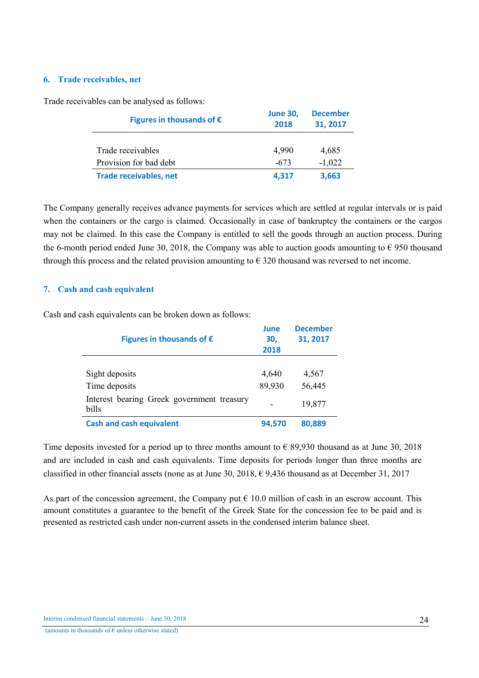### 6. Trade receivables, net

Trade receivables can be analysed as follows:

| Figures in thousands of $\epsilon$ | <b>June 30,</b><br>2018 | <b>December</b><br>31, 2017 |
|------------------------------------|-------------------------|-----------------------------|
| Trade receivables                  | 4,990                   | 4,685                       |
| Provision for bad debt             | $-673$                  | $-1,022$                    |
| <b>Trade receivables, net</b>      | 4,317                   | 3,663                       |

The Company generally receives advance payments for services which are settled at regular intervals or is paid when the containers or the cargo is claimed. Occasionally in case of bankruptcy the containers or the cargos may not be claimed. In this case the Company is entitled to sell the goods through an auction process. During the 6-month period ended June 30, 2018, the Company was able to auction goods amounting to  $\epsilon$  950 thousand through this process and the related provision amounting to  $\epsilon$  320 thousand was reversed to net income.

# 7. Cash and cash equivalent

Cash and cash equivalents can be broken down as follows:

| Figures in thousands of $\epsilon$                  | June<br>30,<br>2018 | <b>December</b><br>31, 2017 |
|-----------------------------------------------------|---------------------|-----------------------------|
| Sight deposits                                      | 4,640               | 4,567                       |
| Time deposits                                       | 89,930              | 56,445                      |
| Interest bearing Greek government treasury<br>bills |                     | 19,877                      |
| <b>Cash and cash equivalent</b>                     | 94,570              | 80,889                      |

Time deposits invested for a period up to three months amount to  $\epsilon$  89.930 thousand as at June 30, 2018 and are included in cash and cash equivalents. Time deposits for periods longer than three months are classified in other financial assets (none as at June 30, 2018,  $\epsilon$  9,436 thousand as at December 31, 2017

As part of the concession agreement, the Company put  $\epsilon$  10.0 million of cash in an escrow account. This amount constitutes a guarantee to the benefit of the Greek State for the concession fee to be paid and is presented as restricted cash under non-current assets in the condensed interim balance sheet.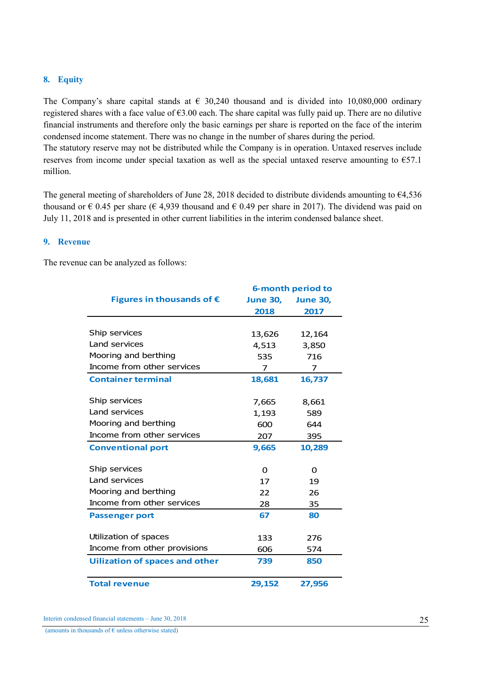### 8. Equity

The Company's share capital stands at  $\epsilon$  30,240 thousand and is divided into 10,080,000 ordinary registered shares with a face value of €3.00 each. The share capital was fully paid up. There are no dilutive financial instruments and therefore only the basic earnings per share is reported on the face of the interim condensed income statement. There was no change in the number of shares during the period.

The statutory reserve may not be distributed while the Company is in operation. Untaxed reserves include reserves from income under special taxation as well as the special untaxed reserve amounting to  $\epsilon$ 57.1 million.

The general meeting of shareholders of June 28, 2018 decided to distribute dividends amounting to €4,536 thousand or  $\epsilon$  0.45 per share ( $\epsilon$  4,939 thousand and  $\epsilon$  0.49 per share in 2017). The dividend was paid on July 11, 2018 and is presented in other current liabilities in the interim condensed balance sheet.

### 9. Revenue

The revenue can be analyzed as follows:

|                                       | <b>6-month period to</b> |                 |
|---------------------------------------|--------------------------|-----------------|
| Figures in thousands of $\epsilon$    | <b>June 30,</b>          | <b>June 30,</b> |
|                                       | 2018                     | 2017            |
|                                       |                          |                 |
| Ship services                         | 13,626                   | 12,164          |
| Land services                         | 4,513                    | 3,850           |
| Mooring and berthing                  | 535                      | 716             |
| Income from other services            | 7                        | 7               |
| <b>Container terminal</b>             | 18,681                   | 16,737          |
|                                       |                          |                 |
| Ship services                         | 7,665                    | 8,661           |
| Land services                         | 1,193                    | 589             |
| Mooring and berthing                  | 600                      | 644             |
| Income from other services            | 207                      | 395             |
| <b>Conventional port</b>              | 9,665                    | 10,289          |
|                                       |                          |                 |
| Ship services                         | 0                        | 0               |
| Land services                         | 17                       | 19              |
| Mooring and berthing                  | 22                       | 26              |
| Income from other services            | 28                       | 35              |
| <b>Passenger port</b>                 | 67                       | 80              |
|                                       |                          |                 |
| Utilization of spaces                 | 133                      | 276             |
| Income from other provisions          | 606                      | 574             |
| <b>Uilization of spaces and other</b> | 739                      | 850             |
|                                       |                          |                 |
| <b>Total revenue</b>                  | 29,152                   | 27,956          |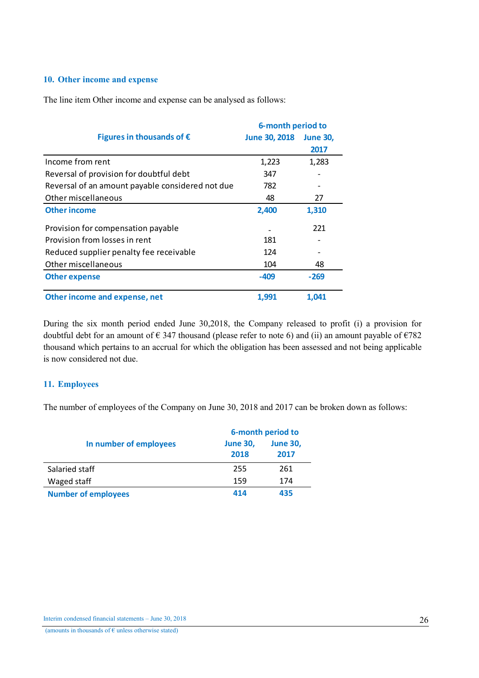## 10. Other income and expense

The line item Other income and expense can be analysed as follows:

|                                                  | <b>6-month period to</b> |                 |
|--------------------------------------------------|--------------------------|-----------------|
| Figures in thousands of $\epsilon$               | <b>June 30, 2018</b>     | <b>June 30,</b> |
|                                                  |                          | 2017            |
| Income from rent                                 | 1,223                    | 1,283           |
| Reversal of provision for doubtful debt          | 347                      |                 |
| Reversal of an amount payable considered not due | 782                      |                 |
| Other miscellaneous                              | 48                       | 27              |
| <b>Other income</b>                              | 2,400                    | 1,310           |
| Provision for compensation payable               |                          | 221             |
| Provision from losses in rent                    | 181                      |                 |
| Reduced supplier penalty fee receivable          | 124                      |                 |
| Other miscellaneous                              | 104                      | 48              |
| <b>Other expense</b>                             | $-409$                   | $-269$          |
| Other income and expense, net                    | 1.991                    | 1.041           |

During the six month period ended June 30,2018, the Company released to profit (i) a provision for doubtful debt for an amount of  $\epsilon$  347 thousand (please refer to note 6) and (ii) an amount payable of  $\epsilon$ 782 thousand which pertains to an accrual for which the obligation has been assessed and not being applicable is now considered not due.

### 11. Employees

The number of employees of the Company on June 30, 2018 and 2017 can be broken down as follows:

|                            | 6-month period to |                 |  |  |
|----------------------------|-------------------|-----------------|--|--|
| In number of employees     | <b>June 30,</b>   | <b>June 30,</b> |  |  |
|                            | 2018              | 2017            |  |  |
| Salaried staff             | 255               | 261             |  |  |
| Waged staff                | 159               | 174             |  |  |
| <b>Number of employees</b> | 414               | 435             |  |  |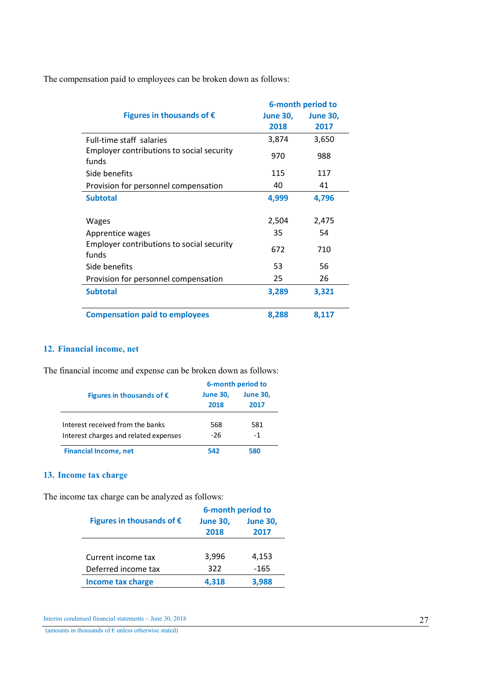The compensation paid to employees can be broken down as follows:

|                                                    |                 | 6-month period to |  |
|----------------------------------------------------|-----------------|-------------------|--|
| Figures in thousands of $\epsilon$                 | <b>June 30,</b> | <b>June 30,</b>   |  |
|                                                    | 2018            | 2017              |  |
| Full-time staff salaries                           | 3,874           | 3,650             |  |
| Employer contributions to social security<br>funds | 970             | 988               |  |
| Side benefits                                      | 115             | 117               |  |
| Provision for personnel compensation               | 40              | 41                |  |
| <b>Subtotal</b>                                    | 4,999           | 4,796             |  |
| <b>Wages</b>                                       | 2,504           | 2,475             |  |
| Apprentice wages                                   | 35              | 54                |  |
| Employer contributions to social security<br>funds | 672             | 710               |  |
| Side benefits                                      | 53              | 56                |  |
| Provision for personnel compensation               | 25              | 26                |  |
| <b>Subtotal</b>                                    | 3,289           | 3,321             |  |
| <b>Compensation paid to employees</b>              | 8,288           | 8,117             |  |

# 12. Financial income, net

The financial income and expense can be broken down as follows:

|                                       | 6-month period to       |                         |  |
|---------------------------------------|-------------------------|-------------------------|--|
| Figures in thousands of $\epsilon$    | <b>June 30,</b><br>2018 | <b>June 30.</b><br>2017 |  |
| Interest received from the banks      | 568                     | 581                     |  |
| Interest charges and related expenses | -26                     | -1                      |  |
| <b>Financial Income, net</b>          | 542                     | 580                     |  |

# 13. Income tax charge

The income tax charge can be analyzed as follows:

|                                    | 6-month period to |                 |  |
|------------------------------------|-------------------|-----------------|--|
| Figures in thousands of $\epsilon$ | <b>June 30,</b>   | <b>June 30,</b> |  |
|                                    | 2018              | 2017            |  |
|                                    |                   |                 |  |
| Current income tax                 | 3,996             | 4,153           |  |
| Deferred income tax                | 322               | $-165$          |  |
| <b>Income tax charge</b>           | 4.318             | 3.988           |  |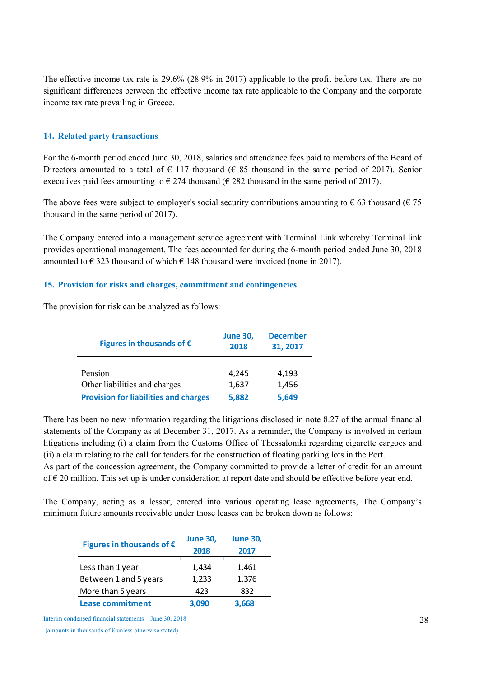The effective income tax rate is 29.6% (28.9% in 2017) applicable to the profit before tax. There are no significant differences between the effective income tax rate applicable to the Company and the corporate income tax rate prevailing in Greece.

### 14. Related party transactions

For the 6-month period ended June 30, 2018, salaries and attendance fees paid to members of the Board of Directors amounted to a total of  $\epsilon$  117 thousand ( $\epsilon$  85 thousand in the same period of 2017). Senior executives paid fees amounting to  $\epsilon$  274 thousand ( $\epsilon$  282 thousand in the same period of 2017).

The above fees were subject to employer's social security contributions amounting to  $\epsilon$  63 thousand ( $\epsilon$  75 thousand in the same period of 2017).

The Company entered into a management service agreement with Terminal Link whereby Terminal link provides operational management. The fees accounted for during the 6-month period ended June 30, 2018 amounted to  $\epsilon$  323 thousand of which  $\epsilon$  148 thousand were invoiced (none in 2017).

## 15. Provision for risks and charges, commitment and contingencies

The provision for risk can be analyzed as follows:

| Figures in thousands of $\epsilon$           | <b>June 30,</b><br>2018 | <b>December</b><br>31, 2017 |
|----------------------------------------------|-------------------------|-----------------------------|
| Pension                                      | 4,245                   | 4,193                       |
| Other liabilities and charges                | 1,637                   | 1,456                       |
| <b>Provision for liabilities and charges</b> | 5,882                   | 5,649                       |

There has been no new information regarding the litigations disclosed in note 8.27 of the annual financial statements of the Company as at December 31, 2017. As a reminder, the Company is involved in certain litigations including (i) a claim from the Customs Office of Thessaloniki regarding cigarette cargoes and (ii) a claim relating to the call for tenders for the construction of floating parking lots in the Port. As part of the concession agreement, the Company committed to provide a letter of credit for an amount of  $\epsilon$  20 million. This set up is under consideration at report date and should be effective before year end.

The Company, acting as a lessor, entered into various operating lease agreements, The Company's minimum future amounts receivable under those leases can be broken down as follows:

| Figures in thousands of $\epsilon$ | <b>June 30,</b><br>2018 | <b>June 30,</b><br>2017 |
|------------------------------------|-------------------------|-------------------------|
| Less than 1 year                   | 1,434                   | 1,461                   |
| Between 1 and 5 years              | 1,233                   | 1,376                   |
| More than 5 years                  | 423                     | 832                     |
| <b>Lease commitment</b>            | 3.090                   | 3,668                   |

Interim condensed financial statements – June 30, 2018